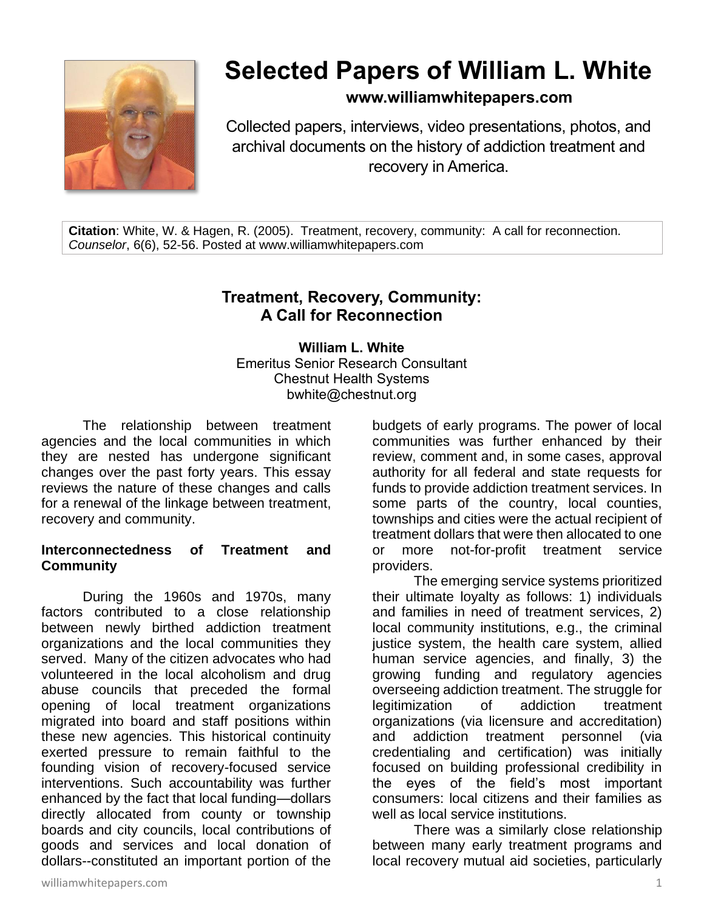

# **Selected Papers of William L. White**

### **www.williamwhitepapers.com**

Collected papers, interviews, video presentations, photos, and archival documents on the history of addiction treatment and recovery in America.

**Citation**: White, W. & Hagen, R. (2005). Treatment, recovery, community: A call for reconnection. *Counselor*, 6(6), 52-56. Posted at www.williamwhitepapers.com

## **Treatment, Recovery, Community: A Call for Reconnection**

**William L. White** Emeritus Senior Research Consultant Chestnut Health Systems bwhite@chestnut.org

The relationship between treatment agencies and the local communities in which they are nested has undergone significant changes over the past forty years. This essay reviews the nature of these changes and calls for a renewal of the linkage between treatment, recovery and community.

#### **Interconnectedness of Treatment and Community**

During the 1960s and 1970s, many factors contributed to a close relationship between newly birthed addiction treatment organizations and the local communities they served. Many of the citizen advocates who had volunteered in the local alcoholism and drug abuse councils that preceded the formal opening of local treatment organizations migrated into board and staff positions within these new agencies. This historical continuity exerted pressure to remain faithful to the founding vision of recovery-focused service interventions. Such accountability was further enhanced by the fact that local funding—dollars directly allocated from county or township boards and city councils, local contributions of goods and services and local donation of dollars--constituted an important portion of the budgets of early programs. The power of local communities was further enhanced by their review, comment and, in some cases, approval authority for all federal and state requests for funds to provide addiction treatment services. In some parts of the country, local counties, townships and cities were the actual recipient of treatment dollars that were then allocated to one or more not-for-profit treatment service providers.

The emerging service systems prioritized their ultimate loyalty as follows: 1) individuals and families in need of treatment services, 2) local community institutions, e.g., the criminal justice system, the health care system, allied human service agencies, and finally, 3) the growing funding and regulatory agencies overseeing addiction treatment. The struggle for legitimization of addiction treatment organizations (via licensure and accreditation) and addiction treatment personnel (via credentialing and certification) was initially focused on building professional credibility in the eyes of the field's most important consumers: local citizens and their families as well as local service institutions.

There was a similarly close relationship between many early treatment programs and local recovery mutual aid societies, particularly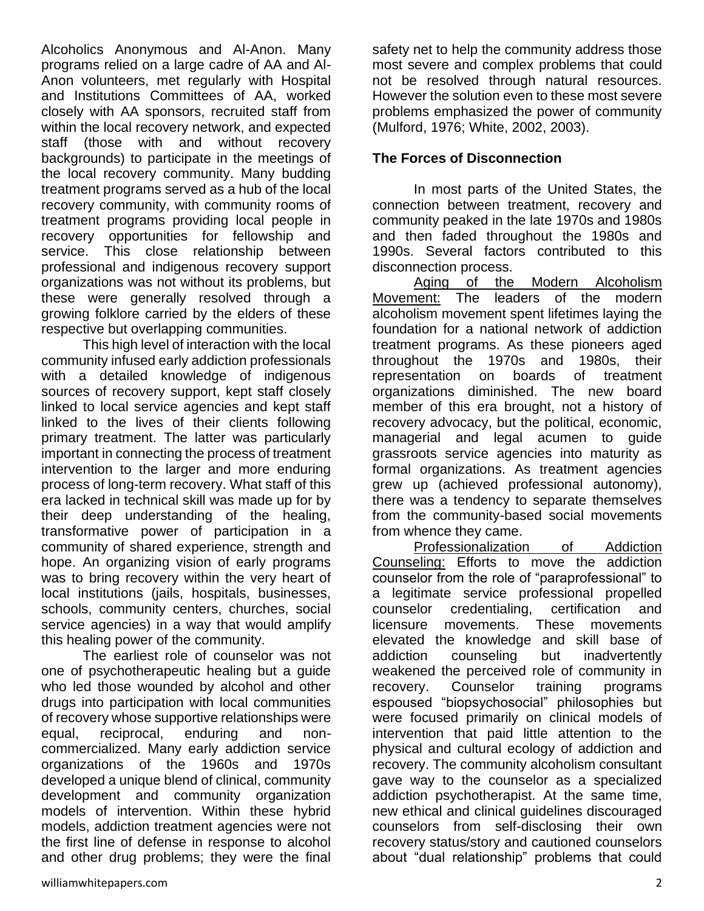Alcoholics Anonymous and Al-Anon. Many programs relied on a large cadre of AA and Al-Anon volunteers, met regularly with Hospital and Institutions Committees of AA, worked closely with AA sponsors, recruited staff from within the local recovery network, and expected staff (those with and without recovery backgrounds) to participate in the meetings of the local recovery community. Many budding treatment programs served as a hub of the local recovery community, with community rooms of treatment programs providing local people in recovery opportunities for fellowship and service. This close relationship between professional and indigenous recovery support organizations was not without its problems, but these were generally resolved through a growing folklore carried by the elders of these respective but overlapping communities.

This high level of interaction with the local community infused early addiction professionals with a detailed knowledge of indigenous sources of recovery support, kept staff closely linked to local service agencies and kept staff linked to the lives of their clients following primary treatment. The latter was particularly important in connecting the process of treatment intervention to the larger and more enduring process of long-term recovery. What staff of this era lacked in technical skill was made up for by their deep understanding of the healing, transformative power of participation in a community of shared experience, strength and hope. An organizing vision of early programs was to bring recovery within the very heart of local institutions (jails, hospitals, businesses, schools, community centers, churches, social service agencies) in a way that would amplify this healing power of the community.

The earliest role of counselor was not one of psychotherapeutic healing but a guide who led those wounded by alcohol and other drugs into participation with local communities of recovery whose supportive relationships were equal, reciprocal, enduring and noncommercialized. Many early addiction service organizations of the 1960s and 1970s developed a unique blend of clinical, community development and community organization models of intervention. Within these hybrid models, addiction treatment agencies were not the first line of defense in response to alcohol and other drug problems; they were the final safety net to help the community address those most severe and complex problems that could not be resolved through natural resources. However the solution even to these most severe problems emphasized the power of community (Mulford, 1976; White, 2002, 2003).

#### **The Forces of Disconnection**

In most parts of the United States, the connection between treatment, recovery and community peaked in the late 1970s and 1980s and then faded throughout the 1980s and 1990s. Several factors contributed to this disconnection process.

Aging of the Modern Alcoholism Movement: The leaders of the modern alcoholism movement spent lifetimes laying the foundation for a national network of addiction treatment programs. As these pioneers aged throughout the 1970s and 1980s, their representation on boards of treatment organizations diminished. The new board member of this era brought, not a history of recovery advocacy, but the political, economic, managerial and legal acumen to guide grassroots service agencies into maturity as formal organizations. As treatment agencies grew up (achieved professional autonomy), there was a tendency to separate themselves from the community-based social movements from whence they came.

Professionalization of Addiction Counseling: Efforts to move the addiction counselor from the role of "paraprofessional" to a legitimate service professional propelled counselor credentialing, certification and licensure movements. These movements elevated the knowledge and skill base of addiction counseling but inadvertently weakened the perceived role of community in recovery. Counselor training programs espoused "biopsychosocial" philosophies but were focused primarily on clinical models of intervention that paid little attention to the physical and cultural ecology of addiction and recovery. The community alcoholism consultant gave way to the counselor as a specialized addiction psychotherapist. At the same time, new ethical and clinical guidelines discouraged counselors from self-disclosing their own recovery status/story and cautioned counselors about "dual relationship" problems that could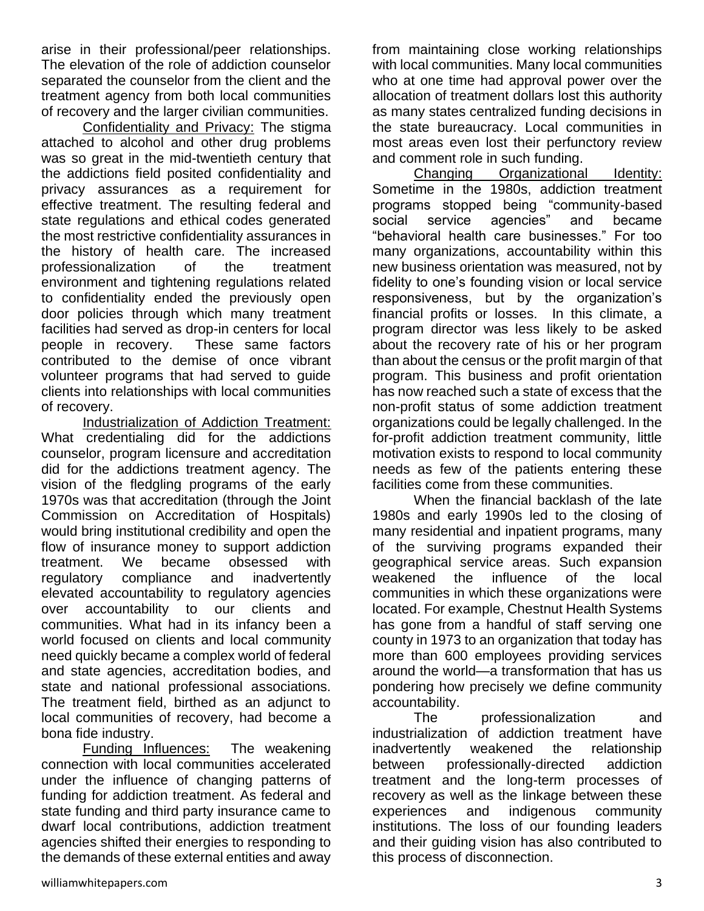arise in their professional/peer relationships. The elevation of the role of addiction counselor separated the counselor from the client and the treatment agency from both local communities of recovery and the larger civilian communities.

Confidentiality and Privacy: The stigma attached to alcohol and other drug problems was so great in the mid-twentieth century that the addictions field posited confidentiality and privacy assurances as a requirement for effective treatment. The resulting federal and state regulations and ethical codes generated the most restrictive confidentiality assurances in the history of health care. The increased professionalization of the treatment environment and tightening regulations related to confidentiality ended the previously open door policies through which many treatment facilities had served as drop-in centers for local people in recovery. These same factors contributed to the demise of once vibrant volunteer programs that had served to guide clients into relationships with local communities of recovery.

Industrialization of Addiction Treatment: What credentialing did for the addictions counselor, program licensure and accreditation did for the addictions treatment agency. The vision of the fledgling programs of the early 1970s was that accreditation (through the Joint Commission on Accreditation of Hospitals) would bring institutional credibility and open the flow of insurance money to support addiction treatment. We became obsessed with regulatory compliance and inadvertently elevated accountability to regulatory agencies over accountability to our clients and communities. What had in its infancy been a world focused on clients and local community need quickly became a complex world of federal and state agencies, accreditation bodies, and state and national professional associations. The treatment field, birthed as an adjunct to local communities of recovery, had become a bona fide industry.

Funding Influences: The weakening connection with local communities accelerated under the influence of changing patterns of funding for addiction treatment. As federal and state funding and third party insurance came to dwarf local contributions, addiction treatment agencies shifted their energies to responding to the demands of these external entities and away from maintaining close working relationships with local communities. Many local communities who at one time had approval power over the allocation of treatment dollars lost this authority as many states centralized funding decisions in the state bureaucracy. Local communities in most areas even lost their perfunctory review and comment role in such funding.

Changing Organizational Identity: Sometime in the 1980s, addiction treatment programs stopped being "community-based social service agencies" and became "behavioral health care businesses." For too many organizations, accountability within this new business orientation was measured, not by fidelity to one's founding vision or local service responsiveness, but by the organization's financial profits or losses. In this climate, a program director was less likely to be asked about the recovery rate of his or her program than about the census or the profit margin of that program. This business and profit orientation has now reached such a state of excess that the non-profit status of some addiction treatment organizations could be legally challenged. In the for-profit addiction treatment community, little motivation exists to respond to local community needs as few of the patients entering these facilities come from these communities.

When the financial backlash of the late 1980s and early 1990s led to the closing of many residential and inpatient programs, many of the surviving programs expanded their geographical service areas. Such expansion weakened the influence of the local communities in which these organizations were located. For example, Chestnut Health Systems has gone from a handful of staff serving one county in 1973 to an organization that today has more than 600 employees providing services around the world—a transformation that has us pondering how precisely we define community accountability.

The professionalization and industrialization of addiction treatment have inadvertently weakened the relationship between professionally-directed addiction treatment and the long-term processes of recovery as well as the linkage between these experiences and indigenous community institutions. The loss of our founding leaders and their guiding vision has also contributed to this process of disconnection.